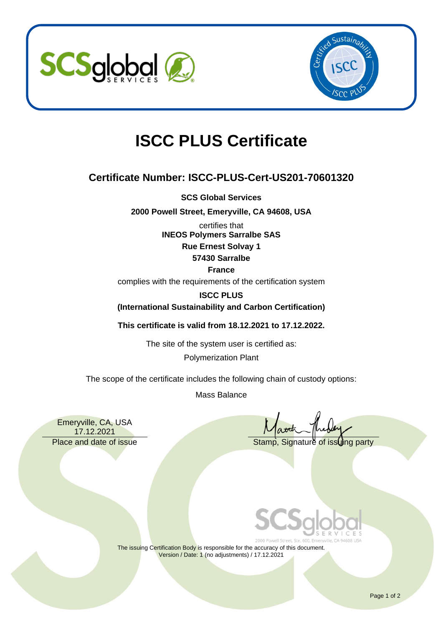



# **ISCC PLUS Certificate**

## **Certificate Number: ISCC-PLUS-Cert-US201-70601320**

**SCS Global Services**

**2000 Powell Street, Emeryville, CA 94608, USA**

certifies that **INEOS Polymers Sarralbe SAS Rue Ernest Solvay 1 57430 Sarralbe**

#### **France**

complies with the requirements of the certification system

#### **ISCC PLUS**

**(International Sustainability and Carbon Certification)**

**This certificate is valid from 18.12.2021 to 17.12.2022.**

The site of the system user is certified as:

Polymerization Plant

The scope of the certificate includes the following chain of custody options:

Mass Balance

Emeryville, CA, USA 17.12.2021

Place and date of issue Stamp, Signature of issuing party



The issuing Certification Body is responsible for the accuracy of this document. Version / Date: 1 (no adjustments) / 17.12.2021